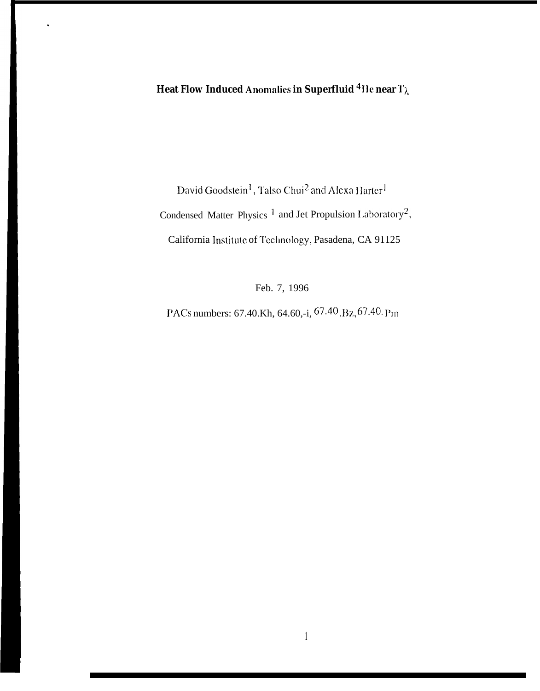David Goodstein<sup>1</sup>, Talso Chui<sup>2</sup> and Alexa Harter<sup>1</sup> Condensed Matter Physics<sup>1</sup> and Jet Propulsion Laboratory<sup>2</sup>, California Institute of Technology, Pasadena, CA 91125

Feb. 7, 1996

PACs numbers: 67.40.Kh, 64.60,-i, 67.40.Bz, 67.40.Pm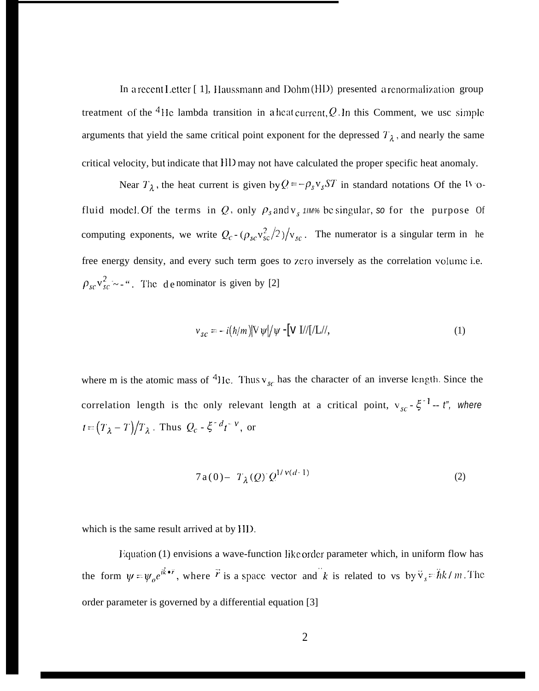In a recent Letter  $[1]$ , Haussmann and Dohm  $(HD)$  presented a renormalization group treatment of the <sup>4</sup>He lambda transition in a heat current, Q. In this Comment, we use simple arguments that yield the same critical point exponent for the depressed  $T_{\lambda}$ , and nearly the same critical velocity, but indicate that IID may not have calculated the proper specific heat anomaly.

Near  $T_{\lambda}$ , the heat current is given by  $Q = -\rho_s v_s ST$  in standard notations Of the <sup>ty-</sup>ofluid model. Of the terms in Q, only  $\rho_s$  and  $v_s$  *11M%* be singular, so for the purpose Of computing exponents, we write  $Q_c - (\rho_{sc} v_{sc}^2 / 2) / v_{sc}$ . The numerator is a singular term in he free energy density, and every such term goes to zero inversely as the correlation volume i.e.  $\rho_{sc}v_{sc}^2$  - -". The d e nominator is given by [2]

$$
v_{sc} = -i(\hbar/m)[\nabla \psi]/\psi - [\nabla I]/[I/L]/,
$$
\n(1)

where m is the atomic mass of <sup>4</sup>He. Thus v<sub>sc</sub> has the character of an inverse length. Since the correlation length is the only relevant length at a critical point,  $v_{sc} - \xi^{-1} - t''$ , where  $t = (T_{\lambda} - T)/T_{\lambda}$ . Thus  $Q_c - \xi^{-d}t^{-\nu}$ , or

$$
7a(0) - T_{\lambda}(Q) Q^{1/\nu(d-1)}
$$
 (2)

which is the same result arrived at by HD.

Equation (1) envisions a wave-function like order parameter which, in uniform flow has . - . . the form  $\psi = \psi_o e^{i\vec{k} \cdot \vec{r}}$ , where  $\vec{r}$  is a space vector and k is related to vs by  $\vec{v}_s = \hbar k / m$ . The order parameter is governed by a differential equation [3]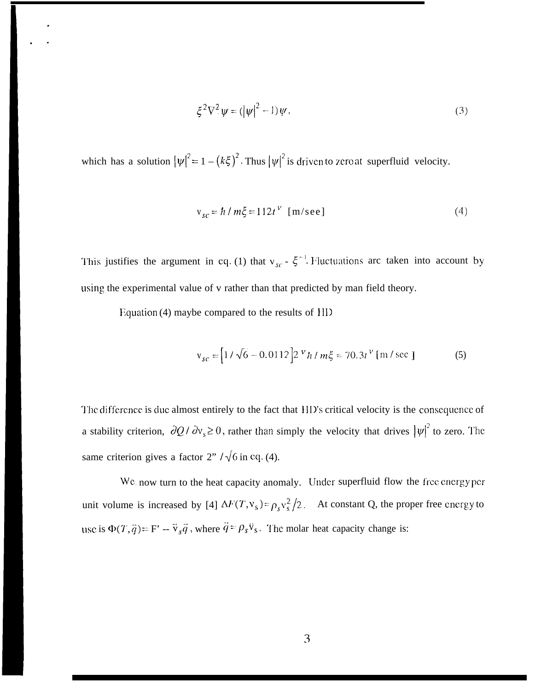$$
\xi^2 \nabla^2 \psi = (|\psi|^2 - 1)\psi,\tag{3}
$$

which has a solution  $|\psi|^2 = 1 - (k\xi)^2$ . Thus  $|\psi|^2$  is driven to zero at superfluid velocity.

$$
v_{sc} = \hbar / m\xi = 112t^V \quad [m/sec]
$$
 (4)

This justifies the argument in eq. (1) that  $v_{sc}$  -  $\xi^{-1}$ . Fluctuations arc taken into account by using the experimental value of v rather than that predicted by man field theory.

Equation (4) maybe compared to the results of  $HID$ 

.

. .

$$
v_{sc} = [1/\sqrt{6} - 0.0112] 2 V h / m\xi = 70.3t V [m/sec]
$$
 (5)

The difference is due almost entirely to the fact that HD's critical velocity is the consequence of a stability criterion,  $\partial Q / \partial v_s \ge 0$ , rather than simply the velocity that drives  $|\psi|^2$  to zero. The same criterion gives a factor  $2" / \sqrt{6}$  in eq. (4).

We now turn to the heat capacity anomaly. Under superfluid flow the free energy per unit volume is increased by [4]  $\Delta F(T, v_s) = \rho_s v_s^2 / 2$ . At constant Q, the proper free cnergy to use is  $\Phi(T, \vec{q}) = F' - \vec{v}_s \vec{q}$ , where  $\vec{q} = \rho_s \vec{v}_s$ . The molar heat capacity change is: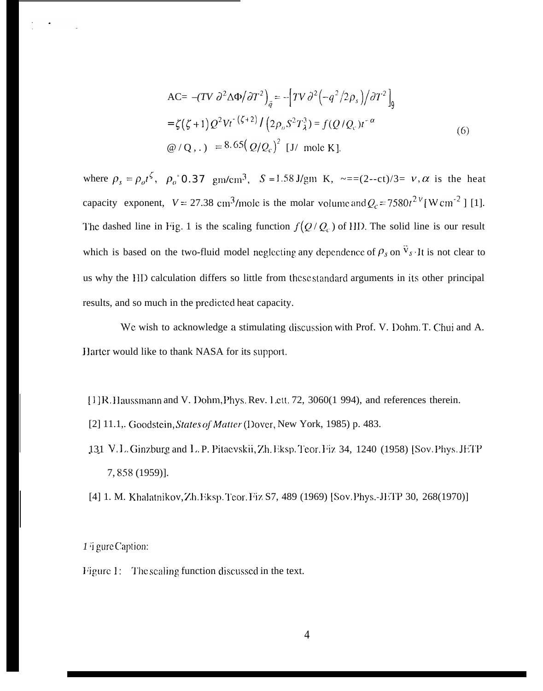$$
\begin{aligned} \n\text{AC=} \ - (TV \ \partial^2 \Delta \Phi / \partial T^2 \big)_{\vec{q}} &= - \left[ TV \ \partial^2 \left( -q^2 / 2 \rho_s \right) / \partial T^2 \right]_0 \\ \n&= \zeta \left( \zeta + 1 \right) Q^2 V t^{-(\zeta + 2)} / \left( 2 \rho_o S^2 T_\lambda^3 \right) = f(Q / Q_c) t^{-\alpha} \\ \n&\text{we} \ / Q \ , \ . \ ) &= 8.65 \left( Q / Q_c \right)^2 \ [J / \text{ mole K}]. \n\end{aligned} \tag{6}
$$

where  $\rho_s = \rho_o t^{\zeta}$ ,  $\rho_o$ <sup>-</sup>0.37 gm/cm<sup>3</sup>, S = 1.58 J/gm K, ~==(2--ct)/3= v,  $\alpha$  is the heat capacity exponent,  $V = 27.38 \text{ cm}^3/\text{mole}$  is the molar volume and  $Q_c = 7580t^{2}$  [W cm<sup>-2</sup>] [1]. The dashed line in Fig. 1 is the scaling function  $f(Q/Q_c)$  of HD. The solid line is our result which is based on the two-fluid model neglecting any dependence of  $\rho_s$  on  $\vec{v}_s \cdot$  It is not clear to us why the HD calculation differs so little from these standard arguments in its other principal results, and so much in the predicted heat capacity.

We wish to acknowledge a stimulating discussion with Prof. V. Dohm. T. Chui and A. Harter would like to thank NASA for its support.

[1] R. ]Iaussmann and V. Dohm, Phys. Rev. 1.ctt. 72, 3060(1 994), and references therein.

- [2] 11.1,. Goodstein, States of Matter (Dover, New York, 1985) p. 483.
- 131 V.L. Ginzburg and L. P. Pitaevskii, Zh. Eksp. Teor. Fiz 34, 1240 (1958) [Sov. Phys. JETP 7, 858 (1959)].
- [4] 1. M. Khalatnikov, Zh. Eksp. Teor. Fiz S7, 489 (1969) [Sov. Phys.-JETP 30, 268(1970)]

## *1* <sup>i</sup> gure Caption:

Figure 1: The scaling function discussed in the text.